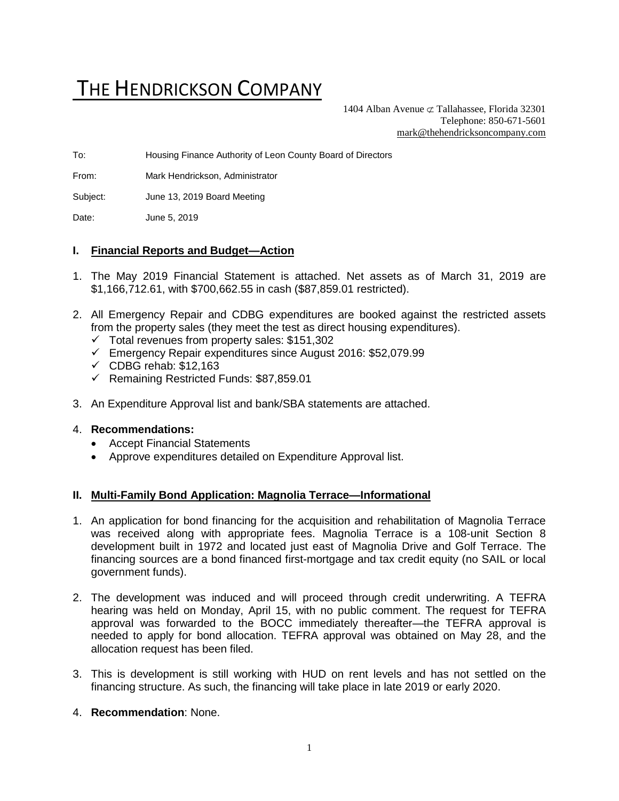# THE HENDRICKSON COMPANY

1404 Alban Avenue  $\subset \text{Tallahasse}$ , Florida 32301 Telephone: 850-671-5601 [mark@thehendricksoncompany.com](mailto:mark@thehendricksoncompany.com)

To: Housing Finance Authority of Leon County Board of Directors

From: Mark Hendrickson, Administrator

Subject: June 13, 2019 Board Meeting

Date: June 5, 2019

#### **I. Financial Reports and Budget—Action**

- 1. The May 2019 Financial Statement is attached. Net assets as of March 31, 2019 are \$1,166,712.61, with \$700,662.55 in cash (\$87,859.01 restricted).
- 2. All Emergency Repair and CDBG expenditures are booked against the restricted assets from the property sales (they meet the test as direct housing expenditures).
	- ✓ Total revenues from property sales: \$151,302
	- ✓ Emergency Repair expenditures since August 2016: \$52,079.99
	- $\checkmark$  CDBG rehab: \$12,163
	- ✓ Remaining Restricted Funds: \$87,859.01
- 3. An Expenditure Approval list and bank/SBA statements are attached.

#### 4. **Recommendations:**

- Accept Financial Statements
- Approve expenditures detailed on Expenditure Approval list.

# **II. Multi-Family Bond Application: Magnolia Terrace—Informational**

- 1. An application for bond financing for the acquisition and rehabilitation of Magnolia Terrace was received along with appropriate fees. Magnolia Terrace is a 108-unit Section 8 development built in 1972 and located just east of Magnolia Drive and Golf Terrace. The financing sources are a bond financed first-mortgage and tax credit equity (no SAIL or local government funds).
- 2. The development was induced and will proceed through credit underwriting. A TEFRA hearing was held on Monday, April 15, with no public comment. The request for TEFRA approval was forwarded to the BOCC immediately thereafter—the TEFRA approval is needed to apply for bond allocation. TEFRA approval was obtained on May 28, and the allocation request has been filed.
- 3. This is development is still working with HUD on rent levels and has not settled on the financing structure. As such, the financing will take place in late 2019 or early 2020.
- 4. **Recommendation**: None.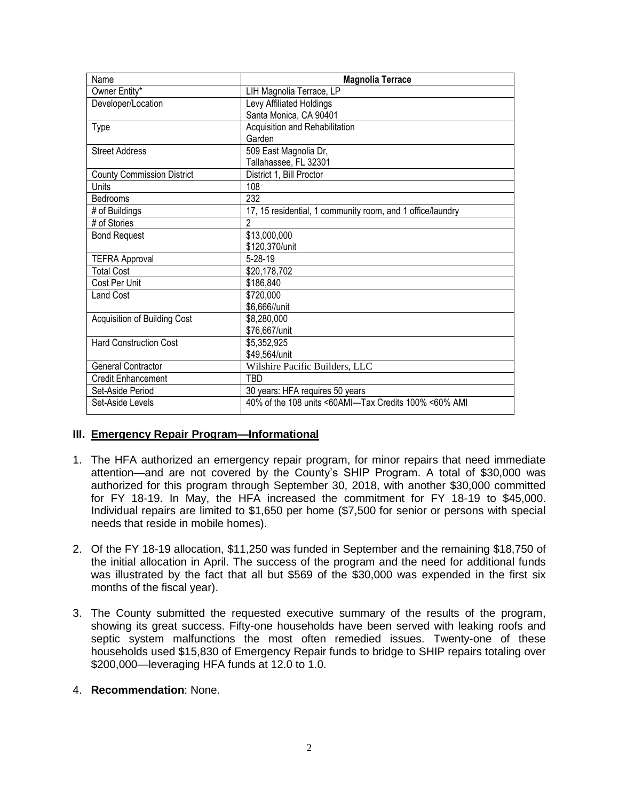| Name                              | <b>Magnolia Terrace</b>                                    |
|-----------------------------------|------------------------------------------------------------|
| Owner Entity*                     | LIH Magnolia Terrace, LP                                   |
| Developer/Location                | Levy Affiliated Holdings                                   |
|                                   | Santa Monica, CA 90401                                     |
| Type                              | Acquisition and Rehabilitation                             |
|                                   | Garden                                                     |
| <b>Street Address</b>             | 509 East Magnolia Dr,                                      |
|                                   | Tallahassee, FL 32301                                      |
| <b>County Commission District</b> | District 1, Bill Proctor                                   |
| Units                             | 108                                                        |
| Bedrooms                          | 232                                                        |
| # of Buildings                    | 17, 15 residential, 1 community room, and 1 office/laundry |
| # of Stories                      | $\mathfrak{p}$                                             |
| <b>Bond Request</b>               | \$13,000,000                                               |
|                                   | \$120,370/unit                                             |
| <b>TEFRA Approval</b>             | $5-28-19$                                                  |
| <b>Total Cost</b>                 | \$20,178,702                                               |
| Cost Per Unit                     | \$186,840                                                  |
| Land Cost                         | \$720,000                                                  |
|                                   | \$6,666//unit                                              |
| Acquisition of Building Cost      | \$8,280,000                                                |
|                                   | \$76,667/unit                                              |
| <b>Hard Construction Cost</b>     | \$5,352,925                                                |
|                                   | \$49,564/unit                                              |
| <b>General Contractor</b>         | Wilshire Pacific Builders, LLC                             |
| Credit Enhancement                | TBD                                                        |
| Set-Aside Period                  | 30 years: HFA requires 50 years                            |
| Set-Aside Levels                  | 40% of the 108 units <60AMI-Tax Credits 100% <60% AMI      |

### **III. Emergency Repair Program—Informational**

- 1. The HFA authorized an emergency repair program, for minor repairs that need immediate attention—and are not covered by the County's SHIP Program. A total of \$30,000 was authorized for this program through September 30, 2018, with another \$30,000 committed for FY 18-19. In May, the HFA increased the commitment for FY 18-19 to \$45,000. Individual repairs are limited to \$1,650 per home (\$7,500 for senior or persons with special needs that reside in mobile homes).
- 2. Of the FY 18-19 allocation, \$11,250 was funded in September and the remaining \$18,750 of the initial allocation in April. The success of the program and the need for additional funds was illustrated by the fact that all but \$569 of the \$30,000 was expended in the first six months of the fiscal year).
- 3. The County submitted the requested executive summary of the results of the program, showing its great success. Fifty-one households have been served with leaking roofs and septic system malfunctions the most often remedied issues. Twenty-one of these households used \$15,830 of Emergency Repair funds to bridge to SHIP repairs totaling over \$200,000—leveraging HFA funds at 12.0 to 1.0.

#### 4. **Recommendation**: None.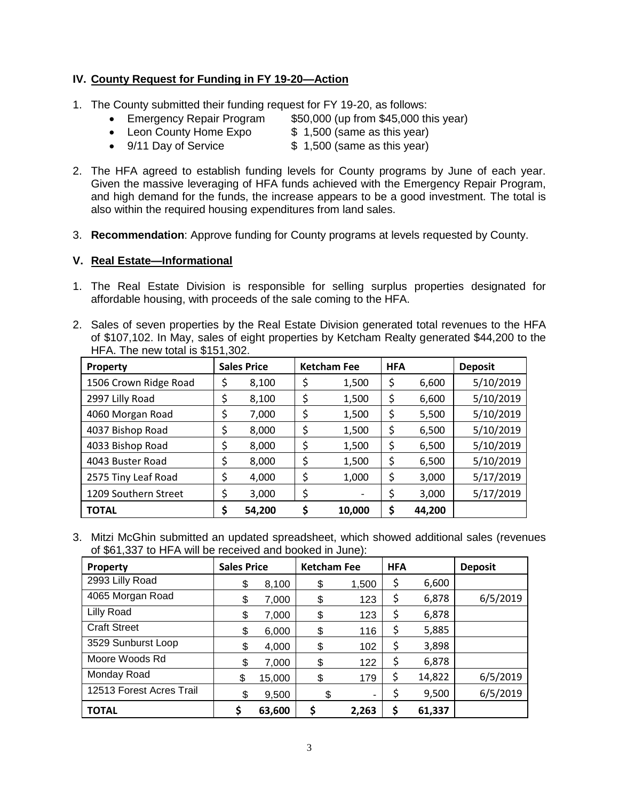# **IV. County Request for Funding in FY 19-20—Action**

- 1. The County submitted their funding request for FY 19-20, as follows:
	- Emergency Repair Program \$50,000 (up from \$45,000 this year)
	- Leon County Home Expo  $$ 1,500$  (same as this year)
	- 9/11 Day of Service \$ 1,500 (same as this year)
- 2. The HFA agreed to establish funding levels for County programs by June of each year. Given the massive leveraging of HFA funds achieved with the Emergency Repair Program, and high demand for the funds, the increase appears to be a good investment. The total is also within the required housing expenditures from land sales.
- 3. **Recommendation**: Approve funding for County programs at levels requested by County.

### **V. Real Estate—Informational**

- 1. The Real Estate Division is responsible for selling surplus properties designated for affordable housing, with proceeds of the sale coming to the HFA.
- 2. Sales of seven properties by the Real Estate Division generated total revenues to the HFA of \$107,102. In May, sales of eight properties by Ketcham Realty generated \$44,200 to the HFA. The new total is \$151,302.

| <b>Property</b>       | <b>Sales Price</b> |        | <b>Ketcham Fee</b> |        | <b>HFA</b> |        | <b>Deposit</b> |  |
|-----------------------|--------------------|--------|--------------------|--------|------------|--------|----------------|--|
| 1506 Crown Ridge Road | Ş                  | 8,100  | \$                 | 1,500  | Ş          | 6,600  | 5/10/2019      |  |
| 2997 Lilly Road       | \$                 | 8,100  | \$                 | 1,500  | \$         | 6,600  | 5/10/2019      |  |
| 4060 Morgan Road      | \$                 | 7,000  | \$                 | 1,500  | Ş          | 5,500  | 5/10/2019      |  |
| 4037 Bishop Road      | \$                 | 8,000  | \$                 | 1,500  | Ş          | 6,500  | 5/10/2019      |  |
| 4033 Bishop Road      | \$                 | 8,000  | \$                 | 1,500  | Ş          | 6,500  | 5/10/2019      |  |
| 4043 Buster Road      | \$                 | 8,000  | \$                 | 1,500  | Ş          | 6,500  | 5/10/2019      |  |
| 2575 Tiny Leaf Road   | \$                 | 4,000  | \$                 | 1,000  | \$         | 3,000  | 5/17/2019      |  |
| 1209 Southern Street  | \$                 | 3,000  | \$                 |        | \$         | 3,000  | 5/17/2019      |  |
| <b>TOTAL</b>          | \$                 | 54,200 |                    | 10,000 | Ş          | 44,200 |                |  |

3. Mitzi McGhin submitted an updated spreadsheet, which showed additional sales (revenues of \$61,337 to HFA will be received and booked in June):

| <b>Property</b>          | <b>Sales Price</b> |        | <b>Ketcham Fee</b> |       | <b>HFA</b> |        | <b>Deposit</b> |
|--------------------------|--------------------|--------|--------------------|-------|------------|--------|----------------|
| 2993 Lilly Road          | \$                 | 8,100  | \$                 | 1,500 | \$         | 6,600  |                |
| 4065 Morgan Road         | S                  | 7,000  | \$                 | 123   | \$         | 6,878  | 6/5/2019       |
| Lilly Road               | \$                 | 7,000  | \$                 | 123   | \$         | 6,878  |                |
| <b>Craft Street</b>      | \$                 | 6,000  | \$                 | 116   | \$         | 5,885  |                |
| 3529 Sunburst Loop       |                    | 4,000  | \$                 | 102   | \$         | 3,898  |                |
| Moore Woods Rd           | \$                 | 7,000  | \$                 | 122   | \$         | 6,878  |                |
| Monday Road              | \$                 | 15,000 | \$                 | 179   | \$         | 14,822 | 6/5/2019       |
| 12513 Forest Acres Trail | \$                 | 9,500  | \$                 | ۰     | \$         | 9,500  | 6/5/2019       |
| <b>TOTAL</b>             |                    | 63,600 | \$                 | 2,263 | \$         | 61,337 |                |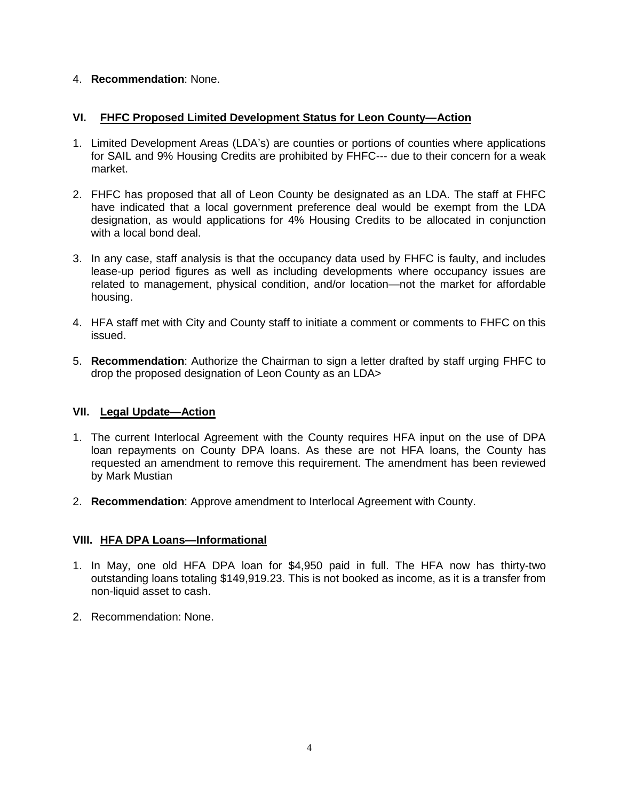#### 4. **Recommendation**: None.

#### **VI. FHFC Proposed Limited Development Status for Leon County—Action**

- 1. Limited Development Areas (LDA's) are counties or portions of counties where applications for SAIL and 9% Housing Credits are prohibited by FHFC--- due to their concern for a weak market.
- 2. FHFC has proposed that all of Leon County be designated as an LDA. The staff at FHFC have indicated that a local government preference deal would be exempt from the LDA designation, as would applications for 4% Housing Credits to be allocated in conjunction with a local bond deal.
- 3. In any case, staff analysis is that the occupancy data used by FHFC is faulty, and includes lease-up period figures as well as including developments where occupancy issues are related to management, physical condition, and/or location—not the market for affordable housing.
- 4. HFA staff met with City and County staff to initiate a comment or comments to FHFC on this issued.
- 5. **Recommendation**: Authorize the Chairman to sign a letter drafted by staff urging FHFC to drop the proposed designation of Leon County as an LDA>

### **VII. Legal Update—Action**

- 1. The current Interlocal Agreement with the County requires HFA input on the use of DPA loan repayments on County DPA loans. As these are not HFA loans, the County has requested an amendment to remove this requirement. The amendment has been reviewed by Mark Mustian
- 2. **Recommendation**: Approve amendment to Interlocal Agreement with County.

#### **VIII. HFA DPA Loans—Informational**

- 1. In May, one old HFA DPA loan for \$4,950 paid in full. The HFA now has thirty-two outstanding loans totaling \$149,919.23. This is not booked as income, as it is a transfer from non-liquid asset to cash.
- 2. Recommendation: None.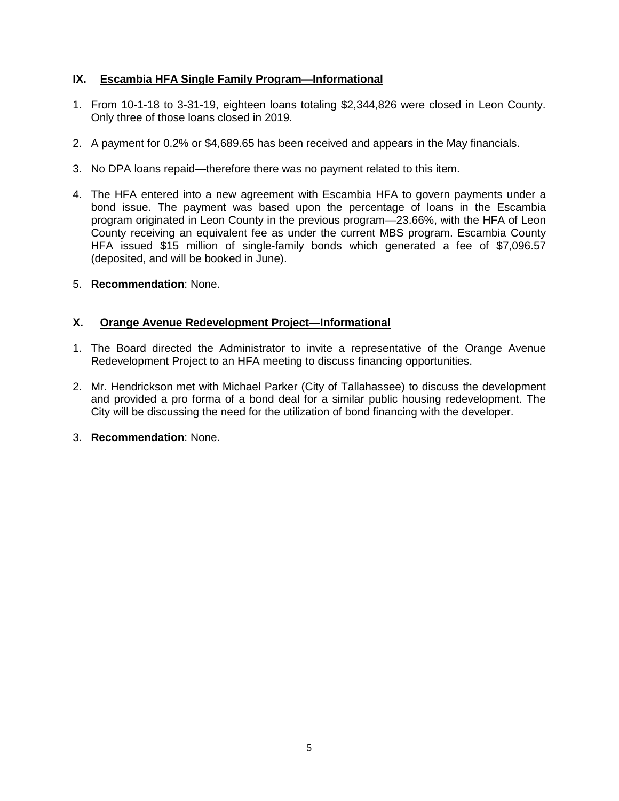# **IX. Escambia HFA Single Family Program—Informational**

- 1. From 10-1-18 to 3-31-19, eighteen loans totaling \$2,344,826 were closed in Leon County. Only three of those loans closed in 2019.
- 2. A payment for 0.2% or \$4,689.65 has been received and appears in the May financials.
- 3. No DPA loans repaid—therefore there was no payment related to this item.
- 4. The HFA entered into a new agreement with Escambia HFA to govern payments under a bond issue. The payment was based upon the percentage of loans in the Escambia program originated in Leon County in the previous program—23.66%, with the HFA of Leon County receiving an equivalent fee as under the current MBS program. Escambia County HFA issued \$15 million of single-family bonds which generated a fee of \$7,096.57 (deposited, and will be booked in June).
- 5. **Recommendation**: None.

### **X. Orange Avenue Redevelopment Project—Informational**

- 1. The Board directed the Administrator to invite a representative of the Orange Avenue Redevelopment Project to an HFA meeting to discuss financing opportunities.
- 2. Mr. Hendrickson met with Michael Parker (City of Tallahassee) to discuss the development and provided a pro forma of a bond deal for a similar public housing redevelopment. The City will be discussing the need for the utilization of bond financing with the developer.
- 3. **Recommendation**: None.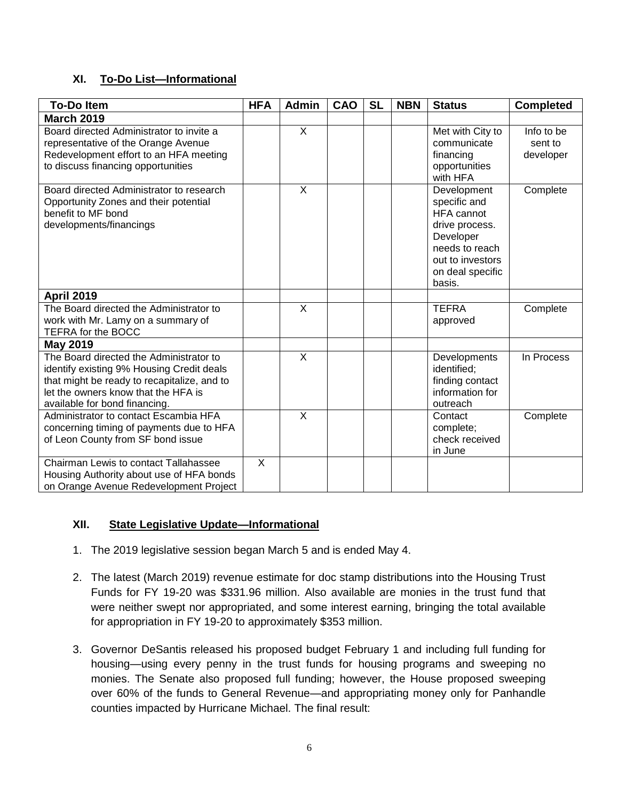# **XI. To-Do List—Informational**

| <b>To-Do Item</b>                                                                                                                                                                                           | <b>HFA</b> | <b>Admin</b>            | CAO | <b>SL</b> | <b>NBN</b> | <b>Status</b>                                                                                                                                       | <b>Completed</b>                   |
|-------------------------------------------------------------------------------------------------------------------------------------------------------------------------------------------------------------|------------|-------------------------|-----|-----------|------------|-----------------------------------------------------------------------------------------------------------------------------------------------------|------------------------------------|
| <b>March 2019</b>                                                                                                                                                                                           |            |                         |     |           |            |                                                                                                                                                     |                                    |
| Board directed Administrator to invite a<br>representative of the Orange Avenue<br>Redevelopment effort to an HFA meeting<br>to discuss financing opportunities                                             |            | $\mathsf{X}$            |     |           |            | Met with City to<br>communicate<br>financing<br>opportunities<br>with HFA                                                                           | Info to be<br>sent to<br>developer |
| Board directed Administrator to research<br>Opportunity Zones and their potential<br>benefit to MF bond<br>developments/financings                                                                          |            | X                       |     |           |            | Development<br>specific and<br><b>HFA</b> cannot<br>drive process.<br>Developer<br>needs to reach<br>out to investors<br>on deal specific<br>basis. | Complete                           |
| <b>April 2019</b>                                                                                                                                                                                           |            |                         |     |           |            |                                                                                                                                                     |                                    |
| The Board directed the Administrator to<br>work with Mr. Lamy on a summary of<br>TEFRA for the BOCC                                                                                                         |            | X                       |     |           |            | <b>TEFRA</b><br>approved                                                                                                                            | Complete                           |
| <b>May 2019</b>                                                                                                                                                                                             |            |                         |     |           |            |                                                                                                                                                     |                                    |
| The Board directed the Administrator to<br>identify existing 9% Housing Credit deals<br>that might be ready to recapitalize, and to<br>let the owners know that the HFA is<br>available for bond financing. |            | $\overline{\mathsf{x}}$ |     |           |            | Developments<br>identified;<br>finding contact<br>information for<br>outreach                                                                       | In Process                         |
| Administrator to contact Escambia HFA<br>concerning timing of payments due to HFA<br>of Leon County from SF bond issue                                                                                      |            | $\sf X$                 |     |           |            | Contact<br>complete;<br>check received<br>in June                                                                                                   | Complete                           |
| <b>Chairman Lewis to contact Tallahassee</b><br>Housing Authority about use of HFA bonds<br>on Orange Avenue Redevelopment Project                                                                          | X          |                         |     |           |            |                                                                                                                                                     |                                    |

### **XII. State Legislative Update—Informational**

- 1. The 2019 legislative session began March 5 and is ended May 4.
- 2. The latest (March 2019) revenue estimate for doc stamp distributions into the Housing Trust Funds for FY 19-20 was \$331.96 million. Also available are monies in the trust fund that were neither swept nor appropriated, and some interest earning, bringing the total available for appropriation in FY 19-20 to approximately \$353 million.
- 3. Governor DeSantis released his proposed budget February 1 and including full funding for housing—using every penny in the trust funds for housing programs and sweeping no monies. The Senate also proposed full funding; however, the House proposed sweeping over 60% of the funds to General Revenue—and appropriating money only for Panhandle counties impacted by Hurricane Michael. The final result: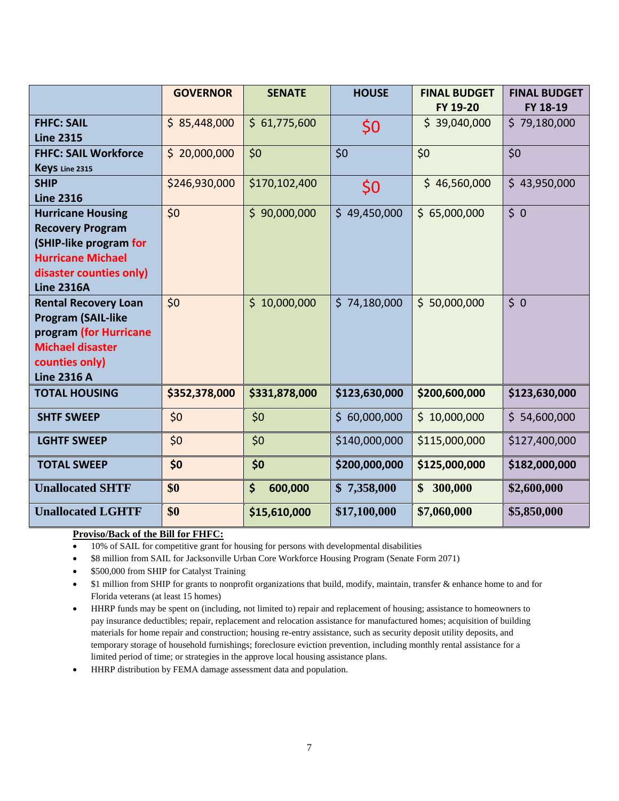|                             | <b>GOVERNOR</b> | <b>SENATE</b> | <b>HOUSE</b>  | <b>FINAL BUDGET</b><br>FY 19-20 | <b>FINAL BUDGET</b><br>FY 18-19 |
|-----------------------------|-----------------|---------------|---------------|---------------------------------|---------------------------------|
| <b>FHFC: SAIL</b>           | \$85,448,000    | \$61,775,600  |               | \$39,040,000                    | \$79,180,000                    |
| <b>Line 2315</b>            |                 |               | \$0           |                                 |                                 |
| <b>FHFC: SAIL Workforce</b> | \$20,000,000    | \$0           | \$0           | \$0                             | \$0                             |
| Keys Line 2315              |                 |               |               |                                 |                                 |
| <b>SHIP</b>                 | \$246,930,000   | \$170,102,400 | \$0           | \$46,560,000                    | \$43,950,000                    |
| <b>Line 2316</b>            |                 |               |               |                                 |                                 |
| <b>Hurricane Housing</b>    | \$0             | \$90,000,000  | \$49,450,000  | \$65,000,000                    | \$0                             |
| <b>Recovery Program</b>     |                 |               |               |                                 |                                 |
| (SHIP-like program for      |                 |               |               |                                 |                                 |
| <b>Hurricane Michael</b>    |                 |               |               |                                 |                                 |
| disaster counties only)     |                 |               |               |                                 |                                 |
| <b>Line 2316A</b>           |                 |               |               |                                 |                                 |
| <b>Rental Recovery Loan</b> | \$0             | \$10,000,000  | \$74,180,000  | \$50,000,000                    | 50                              |
| <b>Program (SAIL-like</b>   |                 |               |               |                                 |                                 |
| program (for Hurricane      |                 |               |               |                                 |                                 |
| <b>Michael disaster</b>     |                 |               |               |                                 |                                 |
| counties only)              |                 |               |               |                                 |                                 |
| <b>Line 2316 A</b>          |                 |               |               |                                 |                                 |
| <b>TOTAL HOUSING</b>        | \$352,378,000   | \$331,878,000 | \$123,630,000 | \$200,600,000                   | \$123,630,000                   |
| <b>SHTF SWEEP</b>           | \$0             | \$0           | \$60,000,000  | \$10,000,000                    | \$ 54,600,000                   |
| <b>LGHTF SWEEP</b>          | \$0             | \$0           | \$140,000,000 | \$115,000,000                   | \$127,400,000                   |
| <b>TOTAL SWEEP</b>          | \$0             | \$0           | \$200,000,000 | \$125,000,000                   | \$182,000,000                   |
| <b>Unallocated SHTF</b>     | \$0             | \$<br>600,000 | \$7,358,000   | 300,000<br>\$                   | \$2,600,000                     |
| <b>Unallocated LGHTF</b>    | \$0             | \$15,610,000  | \$17,100,000  | \$7,060,000                     | \$5,850,000                     |

#### **Proviso/Back of the Bill for FHFC:**

- 10% of SAIL for competitive grant for housing for persons with developmental disabilities
- \$8 million from SAIL for Jacksonville Urban Core Workforce Housing Program (Senate Form 2071)
- \$500,000 from SHIP for Catalyst Training
- \$1 million from SHIP for grants to nonprofit organizations that build, modify, maintain, transfer & enhance home to and for Florida veterans (at least 15 homes)
- HHRP funds may be spent on (including, not limited to) repair and replacement of housing; assistance to homeowners to pay insurance deductibles; repair, replacement and relocation assistance for manufactured homes; acquisition of building materials for home repair and construction; housing re-entry assistance, such as security deposit utility deposits, and temporary storage of household furnishings; foreclosure eviction prevention, including monthly rental assistance for a limited period of time; or strategies in the approve local housing assistance plans.

• HHRP distribution by FEMA damage assessment data and population.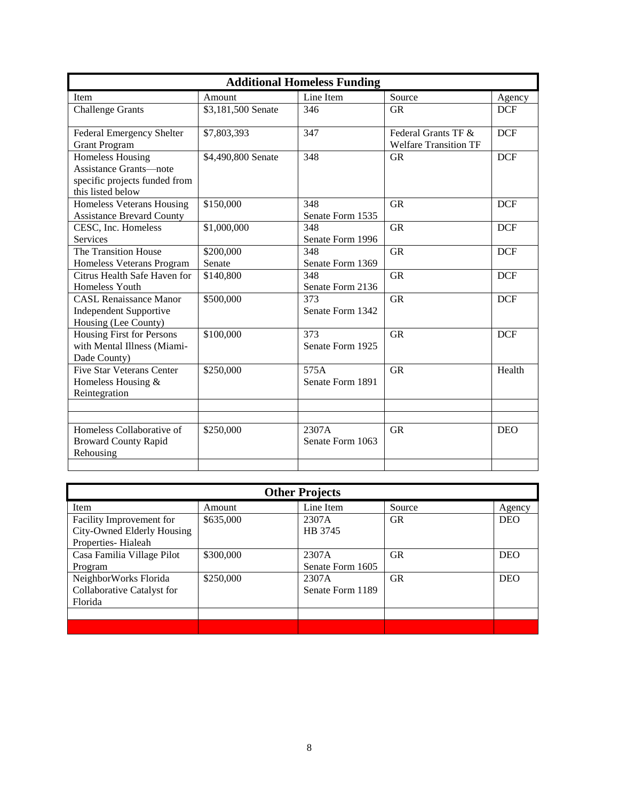| <b>Additional Homeless Funding</b>                                                                      |                     |                           |                                                     |            |  |  |  |  |
|---------------------------------------------------------------------------------------------------------|---------------------|---------------------------|-----------------------------------------------------|------------|--|--|--|--|
| Item                                                                                                    | Amount              | Line Item                 | Source                                              | Agency     |  |  |  |  |
| <b>Challenge Grants</b>                                                                                 | \$3,181,500 Senate  | 346                       | <b>GR</b>                                           | <b>DCF</b> |  |  |  |  |
| Federal Emergency Shelter<br><b>Grant Program</b>                                                       | \$7,803,393         | 347                       | Federal Grants TF &<br><b>Welfare Transition TF</b> | <b>DCF</b> |  |  |  |  |
| <b>Homeless Housing</b><br>Assistance Grants—note<br>specific projects funded from<br>this listed below | \$4,490,800 Senate  | 348                       | <b>GR</b>                                           | <b>DCF</b> |  |  |  |  |
| Homeless Veterans Housing<br><b>Assistance Brevard County</b>                                           | \$150,000           | 348<br>Senate Form 1535   | <b>GR</b>                                           | <b>DCF</b> |  |  |  |  |
| CESC, Inc. Homeless<br>Services                                                                         | \$1,000,000         | 348<br>Senate Form 1996   | <b>GR</b>                                           | <b>DCF</b> |  |  |  |  |
| The Transition House<br>Homeless Veterans Program                                                       | \$200,000<br>Senate | 348<br>Senate Form 1369   | <b>GR</b>                                           | <b>DCF</b> |  |  |  |  |
| Citrus Health Safe Haven for<br>Homeless Youth                                                          | \$140,800           | 348<br>Senate Form 2136   | <b>GR</b>                                           | <b>DCF</b> |  |  |  |  |
| <b>CASL Renaissance Manor</b><br><b>Independent Supportive</b><br>Housing (Lee County)                  | \$500,000           | 373<br>Senate Form 1342   | <b>GR</b>                                           | <b>DCF</b> |  |  |  |  |
| Housing First for Persons<br>with Mental Illness (Miami-<br>Dade County)                                | \$100,000           | 373<br>Senate Form 1925   | <b>GR</b>                                           | <b>DCF</b> |  |  |  |  |
| <b>Five Star Veterans Center</b><br>Homeless Housing &<br>Reintegration                                 | \$250,000           | 575A<br>Senate Form 1891  | <b>GR</b>                                           | Health     |  |  |  |  |
|                                                                                                         |                     |                           |                                                     |            |  |  |  |  |
| Homeless Collaborative of<br><b>Broward County Rapid</b><br>Rehousing                                   | \$250,000           | 2307A<br>Senate Form 1063 | <b>GR</b>                                           | <b>DEO</b> |  |  |  |  |
|                                                                                                         |                     |                           |                                                     |            |  |  |  |  |

| <b>Other Projects</b>                            |           |                  |           |            |  |  |  |  |
|--------------------------------------------------|-----------|------------------|-----------|------------|--|--|--|--|
| Item                                             | Amount    | Line Item        | Source    | Agency     |  |  |  |  |
| Facility Improvement for                         | \$635,000 | 2307A            | <b>GR</b> | <b>DEO</b> |  |  |  |  |
| City-Owned Elderly Housing<br>Properties-Hialeah |           | HB 3745          |           |            |  |  |  |  |
| Casa Familia Village Pilot                       | \$300,000 | 2307A            | <b>GR</b> | <b>DEO</b> |  |  |  |  |
| Program                                          |           | Senate Form 1605 |           |            |  |  |  |  |
| NeighborWorks Florida                            | \$250,000 | 2307A            | <b>GR</b> | <b>DEO</b> |  |  |  |  |
| Collaborative Catalyst for                       |           | Senate Form 1189 |           |            |  |  |  |  |
| Florida                                          |           |                  |           |            |  |  |  |  |
|                                                  |           |                  |           |            |  |  |  |  |
|                                                  |           |                  |           |            |  |  |  |  |